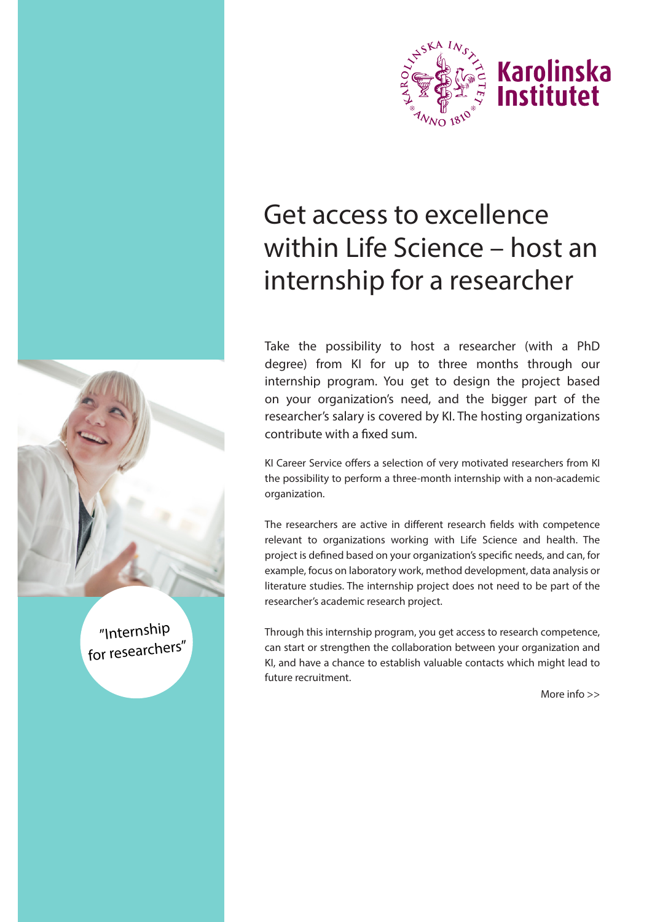

# Get access to excellence within Life Science – host an internship for a researcher

Take the possibility to host a researcher (with a PhD degree) from KI for up to three months through our internship program. You get to design the project based on your organization's need, and the bigger part of the researcher's salary is covered by KI. The hosting organizations contribute with a fixed sum.

KI Career Service offers a selection of very motivated researchers from KI the possibility to perform a three-month internship with a non-academic organization.

The researchers are active in different research fields with competence relevant to organizations working with Life Science and health. The project is defined based on your organization's specific needs, and can, for example, focus on laboratory work, method development, data analysis or literature studies. The internship project does not need to be part of the researcher's academic research project.

Through this internship program, you get access to research competence, can start or strengthen the collaboration between your organization and KI, and have a chance to establish valuable contacts which might lead to future recruitment.

"Internship for researchers"

More info >>